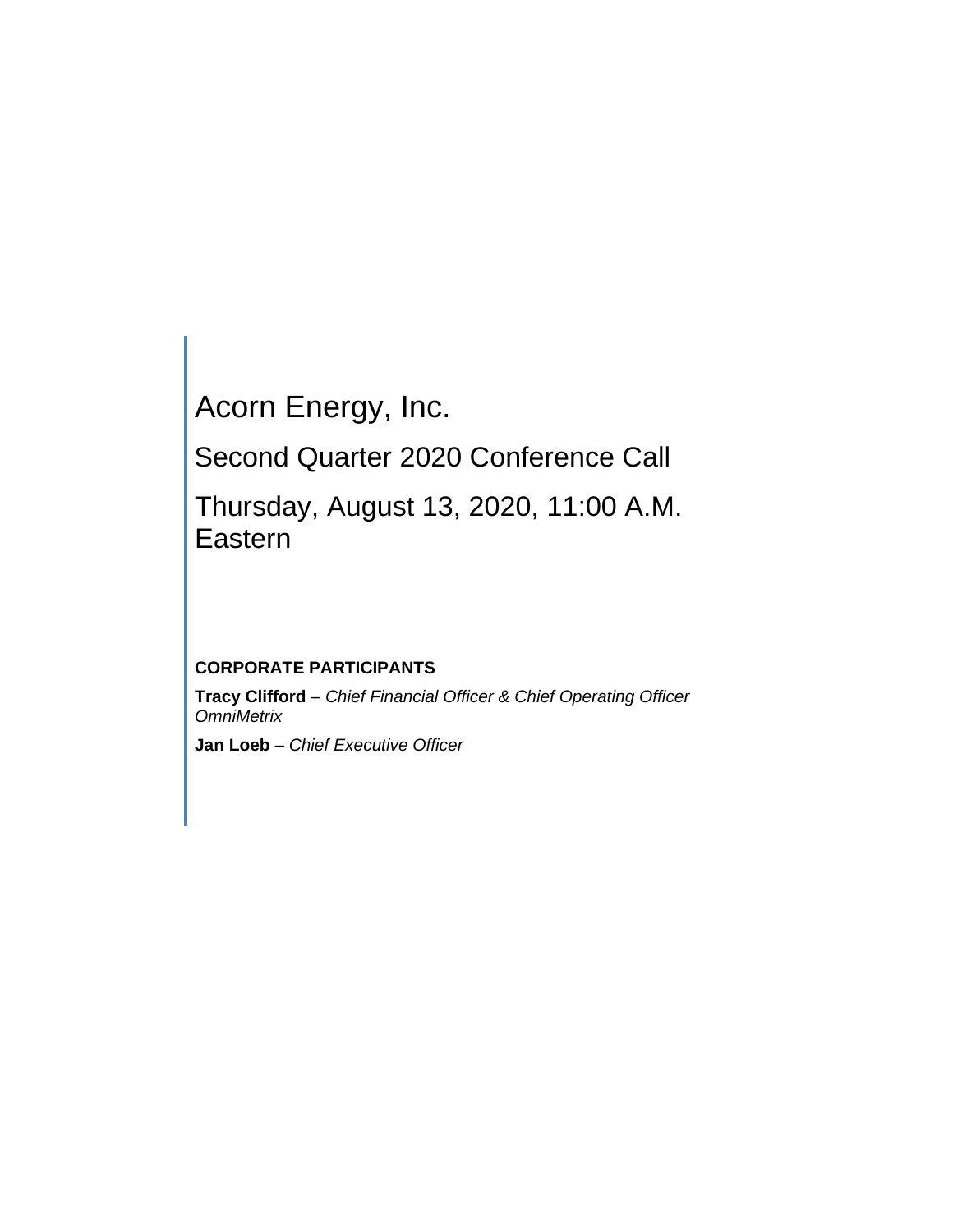# Acorn Energy, Inc.

Second Quarter 2020 Conference Call

Thursday, August 13, 2020, 11:00 A.M. Eastern

# **CORPORATE PARTICIPANTS**

**Tracy Clifford** *– Chief Financial Officer & Chief Operating Officer OmniMetrix*

**Jan Loeb** *– Chief Executive Officer*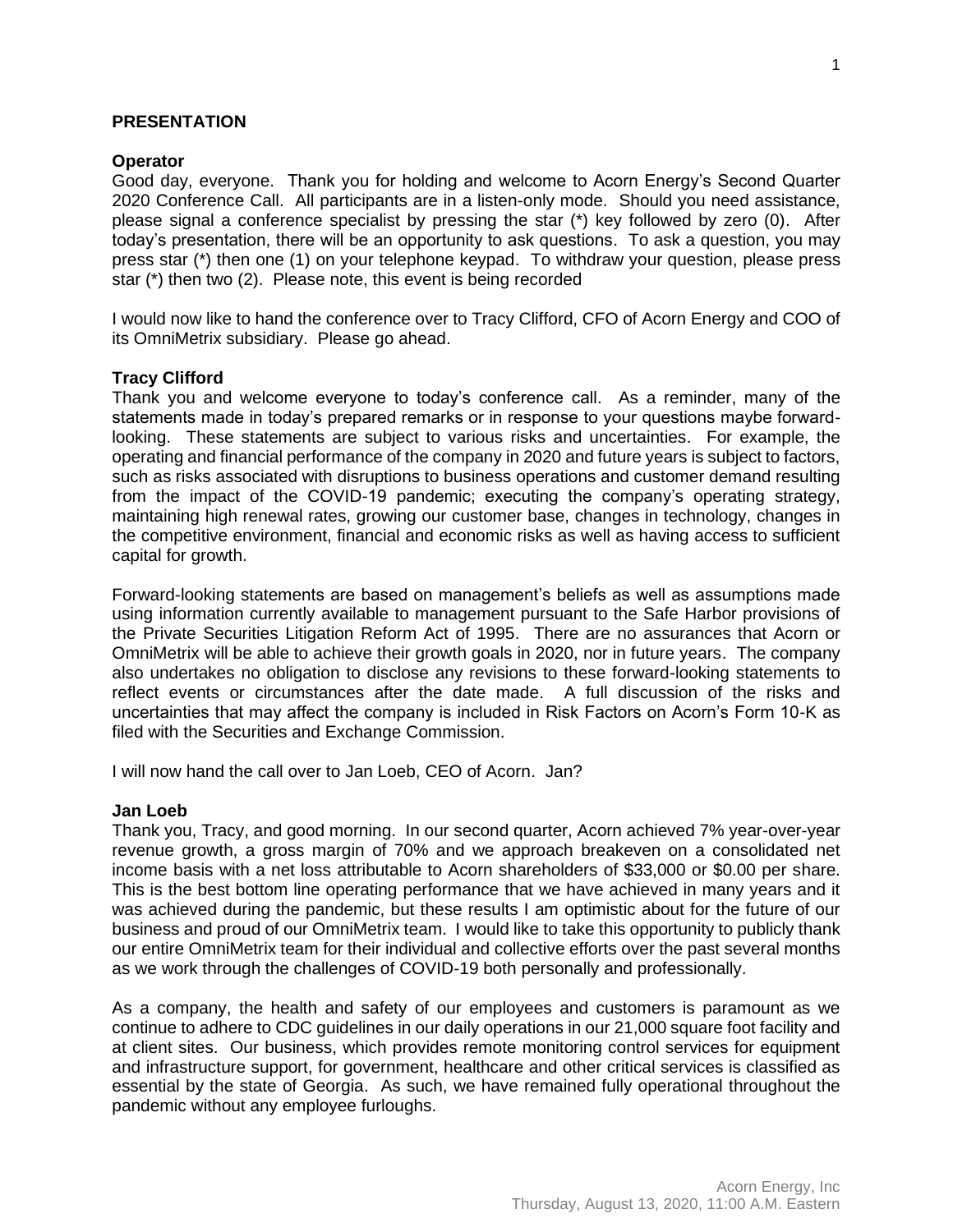# **PRESENTATION**

# **Operator**

Good day, everyone. Thank you for holding and welcome to Acorn Energy's Second Quarter 2020 Conference Call. All participants are in a listen-only mode. Should you need assistance, please signal a conference specialist by pressing the star (\*) key followed by zero (0). After today's presentation, there will be an opportunity to ask questions. To ask a question, you may press star (\*) then one (1) on your telephone keypad. To withdraw your question, please press star (\*) then two (2). Please note, this event is being recorded

I would now like to hand the conference over to Tracy Clifford, CFO of Acorn Energy and COO of its OmniMetrix subsidiary. Please go ahead.

# **Tracy Clifford**

Thank you and welcome everyone to today's conference call. As a reminder, many of the statements made in today's prepared remarks or in response to your questions maybe forwardlooking. These statements are subject to various risks and uncertainties. For example, the operating and financial performance of the company in 2020 and future years is subject to factors, such as risks associated with disruptions to business operations and customer demand resulting from the impact of the COVID-19 pandemic; executing the company's operating strategy, maintaining high renewal rates, growing our customer base, changes in technology, changes in the competitive environment, financial and economic risks as well as having access to sufficient capital for growth.

Forward-looking statements are based on management's beliefs as well as assumptions made using information currently available to management pursuant to the Safe Harbor provisions of the Private Securities Litigation Reform Act of 1995. There are no assurances that Acorn or OmniMetrix will be able to achieve their growth goals in 2020, nor in future years. The company also undertakes no obligation to disclose any revisions to these forward-looking statements to reflect events or circumstances after the date made. A full discussion of the risks and uncertainties that may affect the company is included in Risk Factors on Acorn's Form 10-K as filed with the Securities and Exchange Commission.

I will now hand the call over to Jan Loeb, CEO of Acorn. Jan?

# **Jan Loeb**

Thank you, Tracy, and good morning. In our second quarter, Acorn achieved 7% year-over-year revenue growth, a gross margin of 70% and we approach breakeven on a consolidated net income basis with a net loss attributable to Acorn shareholders of \$33,000 or \$0.00 per share. This is the best bottom line operating performance that we have achieved in many years and it was achieved during the pandemic, but these results I am optimistic about for the future of our business and proud of our OmniMetrix team. I would like to take this opportunity to publicly thank our entire OmniMetrix team for their individual and collective efforts over the past several months as we work through the challenges of COVID-19 both personally and professionally.

As a company, the health and safety of our employees and customers is paramount as we continue to adhere to CDC guidelines in our daily operations in our 21,000 square foot facility and at client sites. Our business, which provides remote monitoring control services for equipment and infrastructure support, for government, healthcare and other critical services is classified as essential by the state of Georgia. As such, we have remained fully operational throughout the pandemic without any employee furloughs.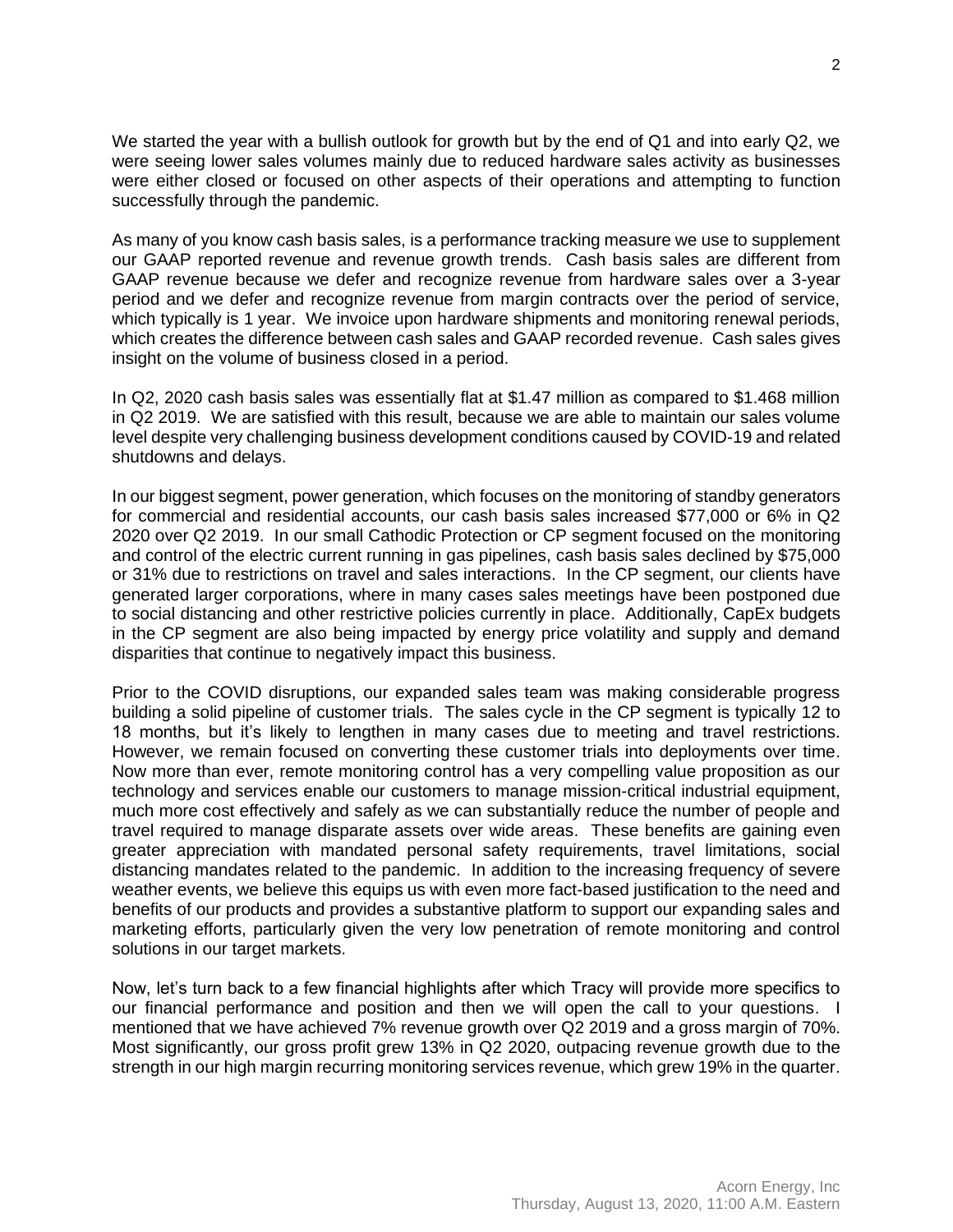We started the year with a bullish outlook for growth but by the end of Q1 and into early Q2, we were seeing lower sales volumes mainly due to reduced hardware sales activity as businesses were either closed or focused on other aspects of their operations and attempting to function successfully through the pandemic.

As many of you know cash basis sales, is a performance tracking measure we use to supplement our GAAP reported revenue and revenue growth trends. Cash basis sales are different from GAAP revenue because we defer and recognize revenue from hardware sales over a 3-year period and we defer and recognize revenue from margin contracts over the period of service, which typically is 1 year. We invoice upon hardware shipments and monitoring renewal periods, which creates the difference between cash sales and GAAP recorded revenue. Cash sales gives insight on the volume of business closed in a period.

In Q2, 2020 cash basis sales was essentially flat at \$1.47 million as compared to \$1.468 million in Q2 2019. We are satisfied with this result, because we are able to maintain our sales volume level despite very challenging business development conditions caused by COVID-19 and related shutdowns and delays.

In our biggest segment, power generation, which focuses on the monitoring of standby generators for commercial and residential accounts, our cash basis sales increased \$77,000 or 6% in Q2 2020 over Q2 2019. In our small Cathodic Protection or CP segment focused on the monitoring and control of the electric current running in gas pipelines, cash basis sales declined by \$75,000 or 31% due to restrictions on travel and sales interactions. In the CP segment, our clients have generated larger corporations, where in many cases sales meetings have been postponed due to social distancing and other restrictive policies currently in place. Additionally, CapEx budgets in the CP segment are also being impacted by energy price volatility and supply and demand disparities that continue to negatively impact this business.

Prior to the COVID disruptions, our expanded sales team was making considerable progress building a solid pipeline of customer trials. The sales cycle in the CP segment is typically 12 to 18 months, but it's likely to lengthen in many cases due to meeting and travel restrictions. However, we remain focused on converting these customer trials into deployments over time. Now more than ever, remote monitoring control has a very compelling value proposition as our technology and services enable our customers to manage mission-critical industrial equipment, much more cost effectively and safely as we can substantially reduce the number of people and travel required to manage disparate assets over wide areas. These benefits are gaining even greater appreciation with mandated personal safety requirements, travel limitations, social distancing mandates related to the pandemic. In addition to the increasing frequency of severe weather events, we believe this equips us with even more fact-based justification to the need and benefits of our products and provides a substantive platform to support our expanding sales and marketing efforts, particularly given the very low penetration of remote monitoring and control solutions in our target markets.

Now, let's turn back to a few financial highlights after which Tracy will provide more specifics to our financial performance and position and then we will open the call to your questions. I mentioned that we have achieved 7% revenue growth over Q2 2019 and a gross margin of 70%. Most significantly, our gross profit grew 13% in Q2 2020, outpacing revenue growth due to the strength in our high margin recurring monitoring services revenue, which grew 19% in the quarter.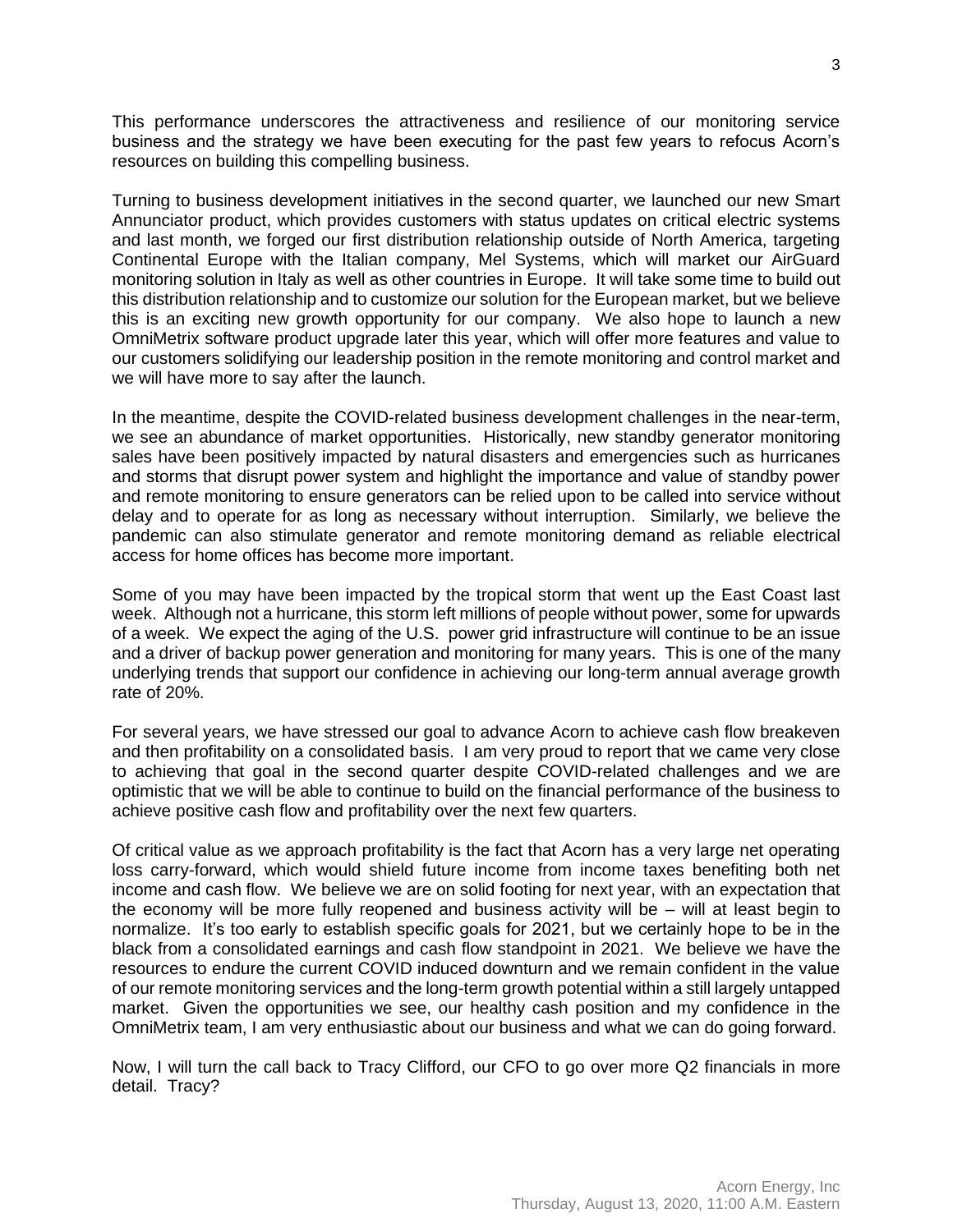This performance underscores the attractiveness and resilience of our monitoring service business and the strategy we have been executing for the past few years to refocus Acorn's resources on building this compelling business.

Turning to business development initiatives in the second quarter, we launched our new Smart Annunciator product, which provides customers with status updates on critical electric systems and last month, we forged our first distribution relationship outside of North America, targeting Continental Europe with the Italian company, Mel Systems, which will market our AirGuard monitoring solution in Italy as well as other countries in Europe. It will take some time to build out this distribution relationship and to customize our solution for the European market, but we believe this is an exciting new growth opportunity for our company. We also hope to launch a new OmniMetrix software product upgrade later this year, which will offer more features and value to our customers solidifying our leadership position in the remote monitoring and control market and we will have more to say after the launch.

In the meantime, despite the COVID-related business development challenges in the near-term, we see an abundance of market opportunities. Historically, new standby generator monitoring sales have been positively impacted by natural disasters and emergencies such as hurricanes and storms that disrupt power system and highlight the importance and value of standby power and remote monitoring to ensure generators can be relied upon to be called into service without delay and to operate for as long as necessary without interruption. Similarly, we believe the pandemic can also stimulate generator and remote monitoring demand as reliable electrical access for home offices has become more important.

Some of you may have been impacted by the tropical storm that went up the East Coast last week. Although not a hurricane, this storm left millions of people without power, some for upwards of a week. We expect the aging of the U.S. power grid infrastructure will continue to be an issue and a driver of backup power generation and monitoring for many years. This is one of the many underlying trends that support our confidence in achieving our long-term annual average growth rate of 20%.

For several years, we have stressed our goal to advance Acorn to achieve cash flow breakeven and then profitability on a consolidated basis. I am very proud to report that we came very close to achieving that goal in the second quarter despite COVID-related challenges and we are optimistic that we will be able to continue to build on the financial performance of the business to achieve positive cash flow and profitability over the next few quarters.

Of critical value as we approach profitability is the fact that Acorn has a very large net operating loss carry-forward, which would shield future income from income taxes benefiting both net income and cash flow. We believe we are on solid footing for next year, with an expectation that the economy will be more fully reopened and business activity will be – will at least begin to normalize. It's too early to establish specific goals for 2021, but we certainly hope to be in the black from a consolidated earnings and cash flow standpoint in 2021. We believe we have the resources to endure the current COVID induced downturn and we remain confident in the value of our remote monitoring services and the long-term growth potential within a still largely untapped market. Given the opportunities we see, our healthy cash position and my confidence in the OmniMetrix team, I am very enthusiastic about our business and what we can do going forward.

Now, I will turn the call back to Tracy Clifford, our CFO to go over more Q2 financials in more detail. Tracy?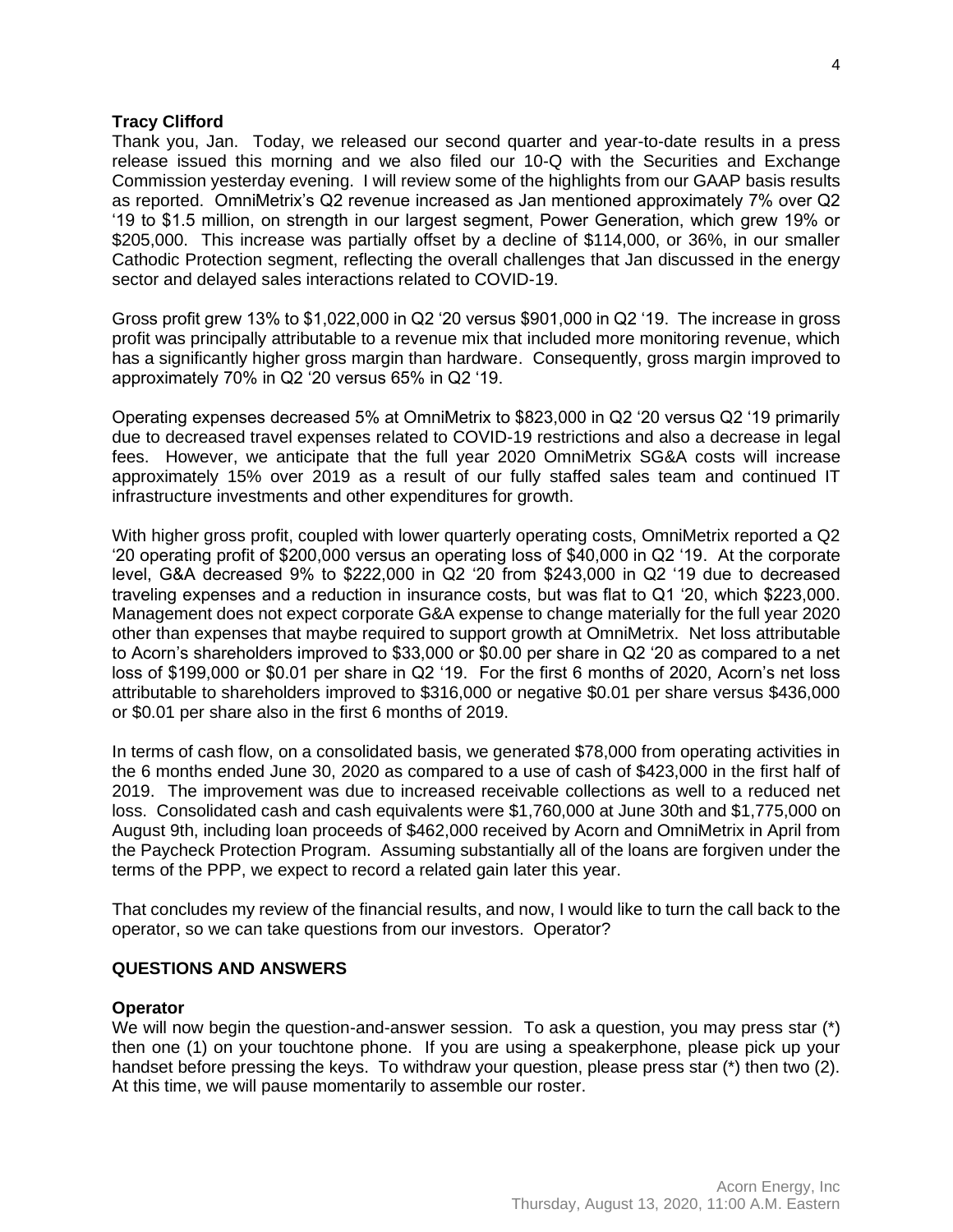# **Tracy Clifford**

Thank you, Jan. Today, we released our second quarter and year-to-date results in a press release issued this morning and we also filed our 10-Q with the Securities and Exchange Commission yesterday evening. I will review some of the highlights from our GAAP basis results as reported. OmniMetrix's Q2 revenue increased as Jan mentioned approximately 7% over Q2 '19 to \$1.5 million, on strength in our largest segment, Power Generation, which grew 19% or \$205,000. This increase was partially offset by a decline of \$114,000, or 36%, in our smaller Cathodic Protection segment, reflecting the overall challenges that Jan discussed in the energy sector and delayed sales interactions related to COVID-19.

Gross profit grew 13% to \$1,022,000 in Q2 '20 versus \$901,000 in Q2 '19. The increase in gross profit was principally attributable to a revenue mix that included more monitoring revenue, which has a significantly higher gross margin than hardware. Consequently, gross margin improved to approximately 70% in Q2 '20 versus 65% in Q2 '19.

Operating expenses decreased 5% at OmniMetrix to \$823,000 in Q2 '20 versus Q2 '19 primarily due to decreased travel expenses related to COVID-19 restrictions and also a decrease in legal fees. However, we anticipate that the full year 2020 OmniMetrix SG&A costs will increase approximately 15% over 2019 as a result of our fully staffed sales team and continued IT infrastructure investments and other expenditures for growth.

With higher gross profit, coupled with lower quarterly operating costs, OmniMetrix reported a Q2 '20 operating profit of \$200,000 versus an operating loss of \$40,000 in Q2 '19. At the corporate level, G&A decreased 9% to \$222,000 in Q2 '20 from \$243,000 in Q2 '19 due to decreased traveling expenses and a reduction in insurance costs, but was flat to Q1 '20, which \$223,000. Management does not expect corporate G&A expense to change materially for the full year 2020 other than expenses that maybe required to support growth at OmniMetrix. Net loss attributable to Acorn's shareholders improved to \$33,000 or \$0.00 per share in Q2 '20 as compared to a net loss of \$199,000 or \$0.01 per share in Q2 '19. For the first 6 months of 2020, Acorn's net loss attributable to shareholders improved to \$316,000 or negative \$0.01 per share versus \$436,000 or \$0.01 per share also in the first 6 months of 2019.

In terms of cash flow, on a consolidated basis, we generated \$78,000 from operating activities in the 6 months ended June 30, 2020 as compared to a use of cash of \$423,000 in the first half of 2019. The improvement was due to increased receivable collections as well to a reduced net loss. Consolidated cash and cash equivalents were \$1,760,000 at June 30th and \$1,775,000 on August 9th, including loan proceeds of \$462,000 received by Acorn and OmniMetrix in April from the Paycheck Protection Program. Assuming substantially all of the loans are forgiven under the terms of the PPP, we expect to record a related gain later this year.

That concludes my review of the financial results, and now, I would like to turn the call back to the operator, so we can take questions from our investors. Operator?

## **QUESTIONS AND ANSWERS**

## **Operator**

We will now begin the question-and-answer session. To ask a question, you may press star (\*) then one (1) on your touchtone phone. If you are using a speakerphone, please pick up your handset before pressing the keys. To withdraw your question, please press star (\*) then two (2). At this time, we will pause momentarily to assemble our roster.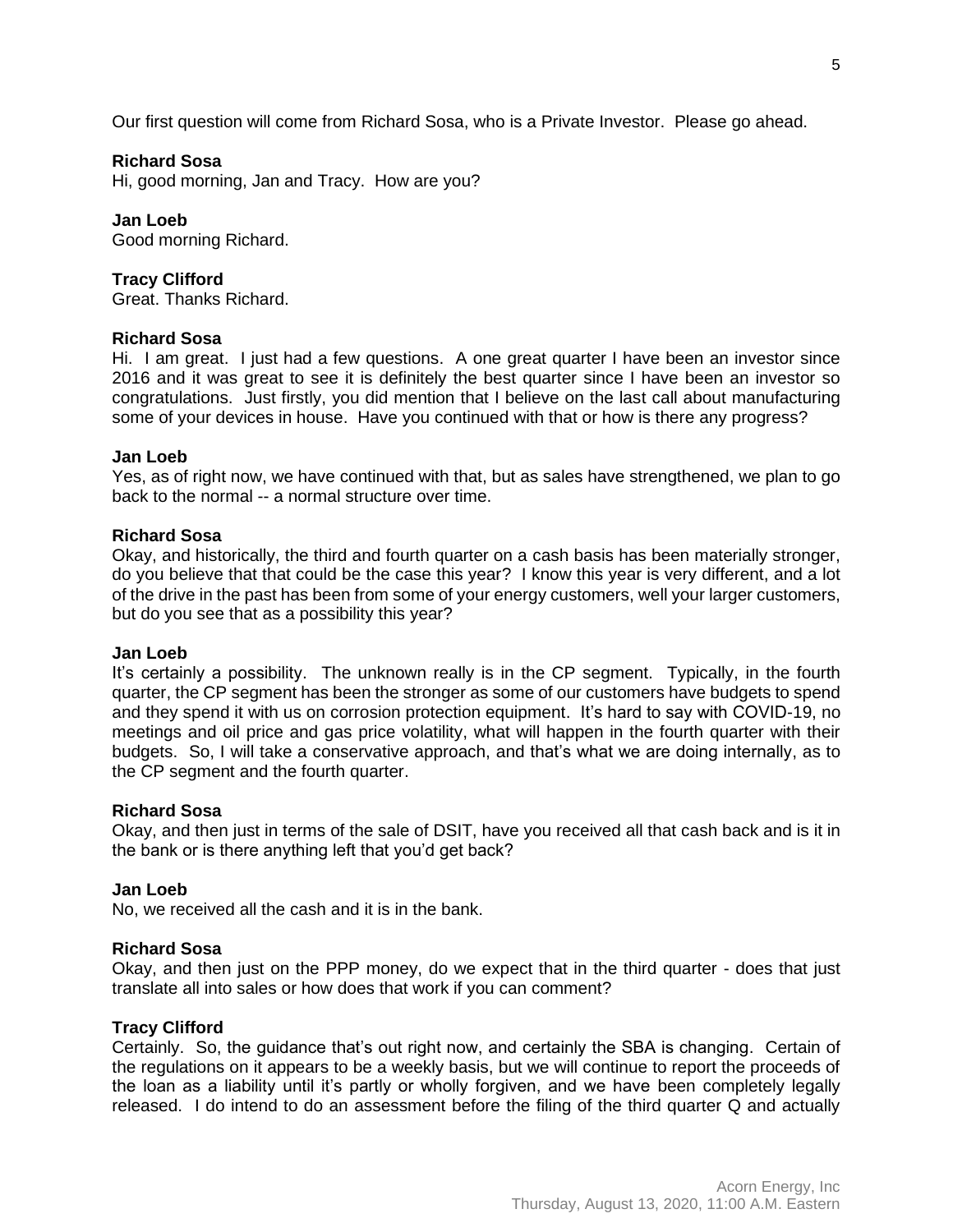Our first question will come from Richard Sosa, who is a Private Investor. Please go ahead.

# **Richard Sosa**

Hi, good morning, Jan and Tracy. How are you?

**Jan Loeb** Good morning Richard.

# **Tracy Clifford**

Great. Thanks Richard.

## **Richard Sosa**

Hi. I am great. I just had a few questions. A one great quarter I have been an investor since 2016 and it was great to see it is definitely the best quarter since I have been an investor so congratulations. Just firstly, you did mention that I believe on the last call about manufacturing some of your devices in house. Have you continued with that or how is there any progress?

## **Jan Loeb**

Yes, as of right now, we have continued with that, but as sales have strengthened, we plan to go back to the normal -- a normal structure over time.

# **Richard Sosa**

Okay, and historically, the third and fourth quarter on a cash basis has been materially stronger, do you believe that that could be the case this year? I know this year is very different, and a lot of the drive in the past has been from some of your energy customers, well your larger customers, but do you see that as a possibility this year?

#### **Jan Loeb**

It's certainly a possibility. The unknown really is in the CP segment. Typically, in the fourth quarter, the CP segment has been the stronger as some of our customers have budgets to spend and they spend it with us on corrosion protection equipment. It's hard to say with COVID-19, no meetings and oil price and gas price volatility, what will happen in the fourth quarter with their budgets. So, I will take a conservative approach, and that's what we are doing internally, as to the CP segment and the fourth quarter.

#### **Richard Sosa**

Okay, and then just in terms of the sale of DSIT, have you received all that cash back and is it in the bank or is there anything left that you'd get back?

## **Jan Loeb**

No, we received all the cash and it is in the bank.

#### **Richard Sosa**

Okay, and then just on the PPP money, do we expect that in the third quarter - does that just translate all into sales or how does that work if you can comment?

## **Tracy Clifford**

Certainly. So, the guidance that's out right now, and certainly the SBA is changing. Certain of the regulations on it appears to be a weekly basis, but we will continue to report the proceeds of the loan as a liability until it's partly or wholly forgiven, and we have been completely legally released. I do intend to do an assessment before the filing of the third quarter Q and actually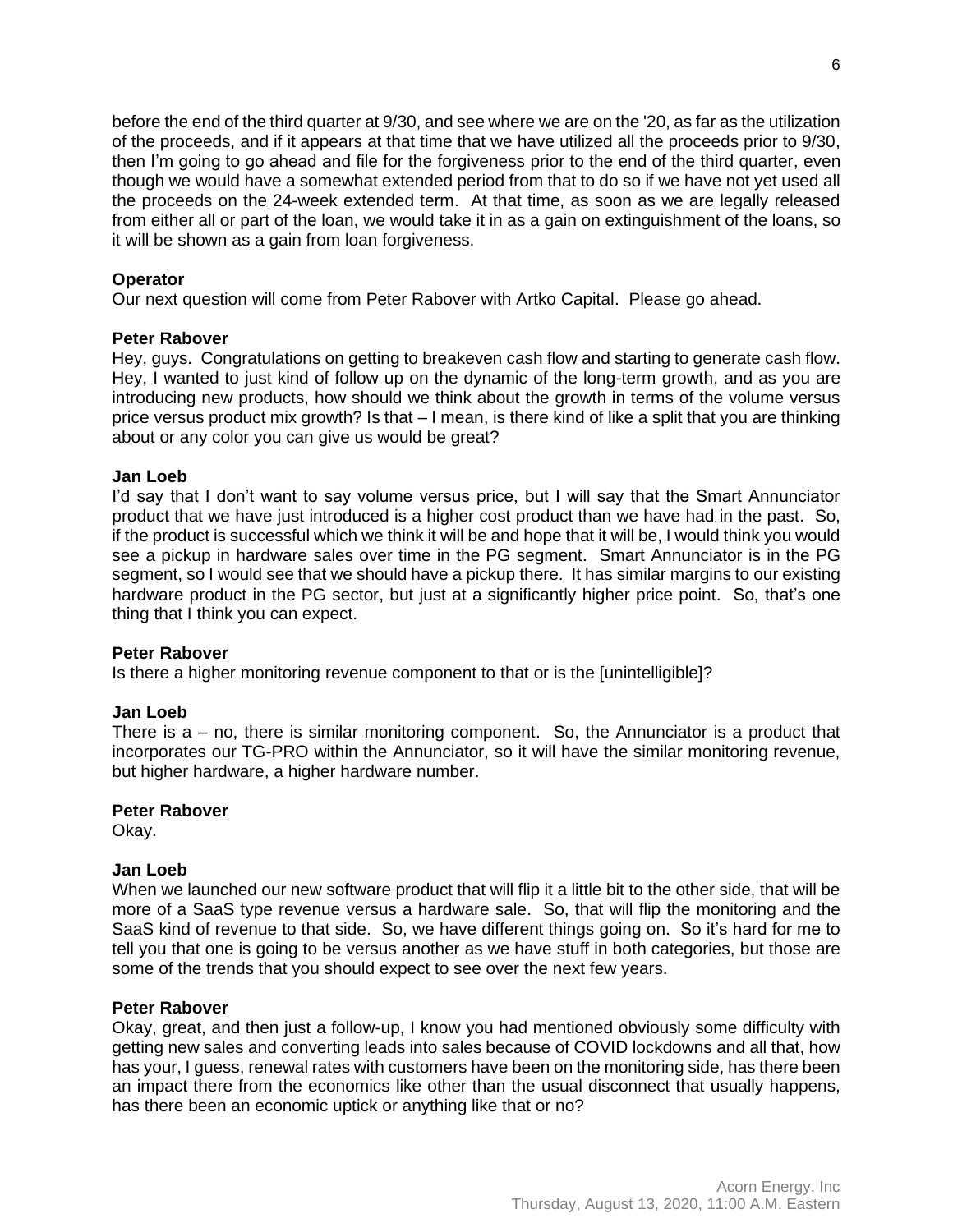before the end of the third quarter at 9/30, and see where we are on the '20, as far as the utilization of the proceeds, and if it appears at that time that we have utilized all the proceeds prior to 9/30, then I'm going to go ahead and file for the forgiveness prior to the end of the third quarter, even though we would have a somewhat extended period from that to do so if we have not yet used all the proceeds on the 24-week extended term. At that time, as soon as we are legally released from either all or part of the loan, we would take it in as a gain on extinguishment of the loans, so it will be shown as a gain from loan forgiveness.

# **Operator**

Our next question will come from Peter Rabover with Artko Capital. Please go ahead.

# **Peter Rabover**

Hey, guys. Congratulations on getting to breakeven cash flow and starting to generate cash flow. Hey, I wanted to just kind of follow up on the dynamic of the long-term growth, and as you are introducing new products, how should we think about the growth in terms of the volume versus price versus product mix growth? Is that – I mean, is there kind of like a split that you are thinking about or any color you can give us would be great?

# **Jan Loeb**

I'd say that I don't want to say volume versus price, but I will say that the Smart Annunciator product that we have just introduced is a higher cost product than we have had in the past. So, if the product is successful which we think it will be and hope that it will be, I would think you would see a pickup in hardware sales over time in the PG segment. Smart Annunciator is in the PG segment, so I would see that we should have a pickup there. It has similar margins to our existing hardware product in the PG sector, but just at a significantly higher price point. So, that's one thing that I think you can expect.

# **Peter Rabover**

Is there a higher monitoring revenue component to that or is the [unintelligible]?

# **Jan Loeb**

There is  $a - no$ , there is similar monitoring component. So, the Annunciator is a product that incorporates our TG-PRO within the Annunciator, so it will have the similar monitoring revenue, but higher hardware, a higher hardware number.

# **Peter Rabover**

Okay.

# **Jan Loeb**

When we launched our new software product that will flip it a little bit to the other side, that will be more of a SaaS type revenue versus a hardware sale. So, that will flip the monitoring and the SaaS kind of revenue to that side. So, we have different things going on. So it's hard for me to tell you that one is going to be versus another as we have stuff in both categories, but those are some of the trends that you should expect to see over the next few years.

# **Peter Rabover**

Okay, great, and then just a follow-up, I know you had mentioned obviously some difficulty with getting new sales and converting leads into sales because of COVID lockdowns and all that, how has your, I guess, renewal rates with customers have been on the monitoring side, has there been an impact there from the economics like other than the usual disconnect that usually happens, has there been an economic uptick or anything like that or no?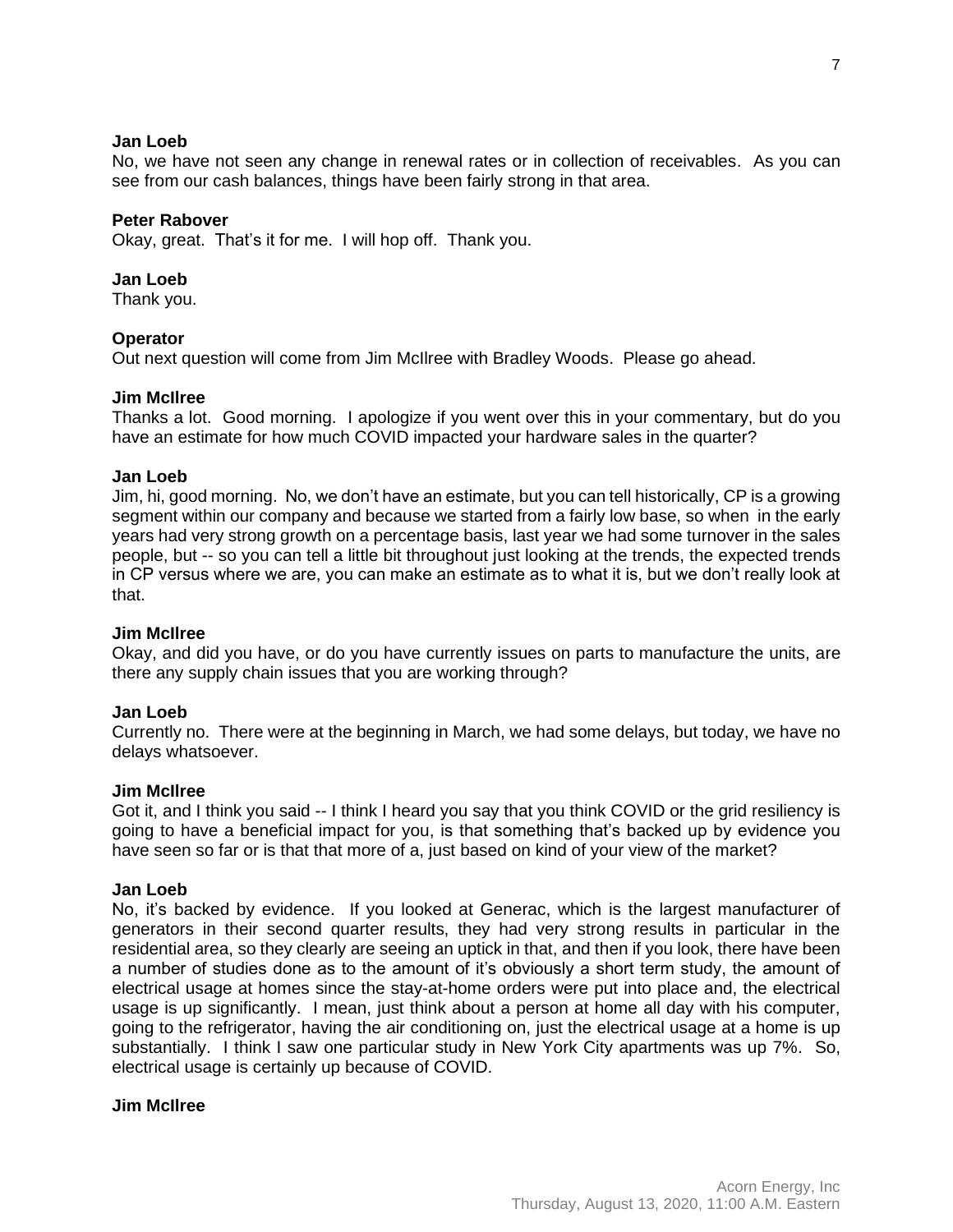# **Jan Loeb**

No, we have not seen any change in renewal rates or in collection of receivables. As you can see from our cash balances, things have been fairly strong in that area.

# **Peter Rabover**

Okay, great. That's it for me. I will hop off. Thank you.

# **Jan Loeb**

Thank you.

# **Operator**

Out next question will come from Jim McIlree with Bradley Woods. Please go ahead.

# **Jim McIlree**

Thanks a lot. Good morning. I apologize if you went over this in your commentary, but do you have an estimate for how much COVID impacted your hardware sales in the quarter?

# **Jan Loeb**

Jim, hi, good morning. No, we don't have an estimate, but you can tell historically, CP is a growing segment within our company and because we started from a fairly low base, so when in the early years had very strong growth on a percentage basis, last year we had some turnover in the sales people, but -- so you can tell a little bit throughout just looking at the trends, the expected trends in CP versus where we are, you can make an estimate as to what it is, but we don't really look at that.

## **Jim McIlree**

Okay, and did you have, or do you have currently issues on parts to manufacture the units, are there any supply chain issues that you are working through?

# **Jan Loeb**

Currently no. There were at the beginning in March, we had some delays, but today, we have no delays whatsoever.

## **Jim McIlree**

Got it, and I think you said -- I think I heard you say that you think COVID or the grid resiliency is going to have a beneficial impact for you, is that something that's backed up by evidence you have seen so far or is that that more of a, just based on kind of your view of the market?

## **Jan Loeb**

No, it's backed by evidence. If you looked at Generac, which is the largest manufacturer of generators in their second quarter results, they had very strong results in particular in the residential area, so they clearly are seeing an uptick in that, and then if you look, there have been a number of studies done as to the amount of it's obviously a short term study, the amount of electrical usage at homes since the stay-at-home orders were put into place and, the electrical usage is up significantly. I mean, just think about a person at home all day with his computer, going to the refrigerator, having the air conditioning on, just the electrical usage at a home is up substantially. I think I saw one particular study in New York City apartments was up 7%. So, electrical usage is certainly up because of COVID.

## **Jim McIlree**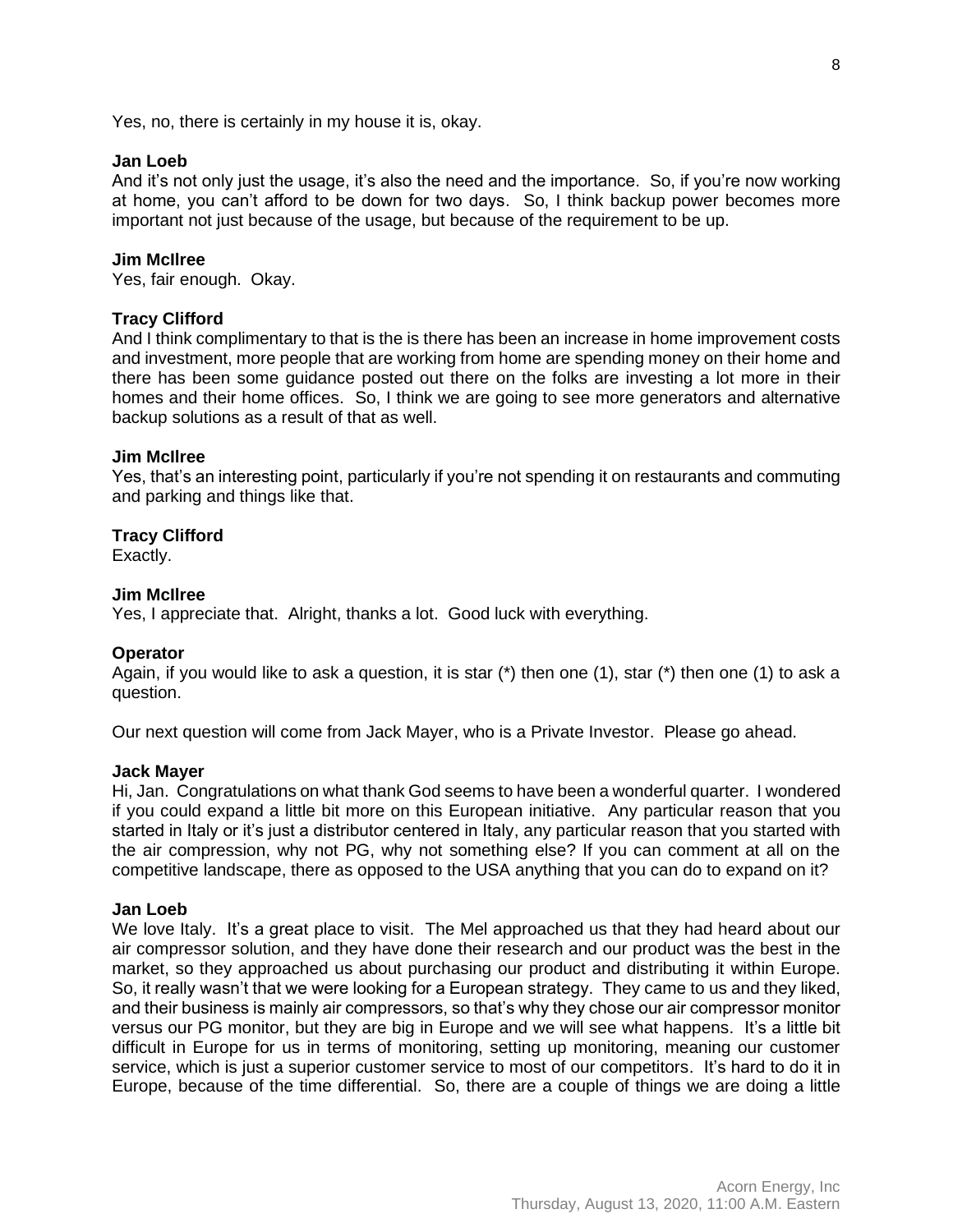# **Jan Loeb**

And it's not only just the usage, it's also the need and the importance. So, if you're now working at home, you can't afford to be down for two days. So, I think backup power becomes more important not just because of the usage, but because of the requirement to be up.

#### **Jim McIlree**

Yes, fair enough. Okay.

# **Tracy Clifford**

And I think complimentary to that is the is there has been an increase in home improvement costs and investment, more people that are working from home are spending money on their home and there has been some guidance posted out there on the folks are investing a lot more in their homes and their home offices. So, I think we are going to see more generators and alternative backup solutions as a result of that as well.

#### **Jim McIlree**

Yes, that's an interesting point, particularly if you're not spending it on restaurants and commuting and parking and things like that.

#### **Tracy Clifford**

Exactly.

#### **Jim McIlree**

Yes, I appreciate that. Alright, thanks a lot. Good luck with everything.

#### **Operator**

Again, if you would like to ask a question, it is star (\*) then one (1), star (\*) then one (1) to ask a question.

Our next question will come from Jack Mayer, who is a Private Investor. Please go ahead.

#### **Jack Mayer**

Hi, Jan. Congratulations on what thank God seems to have been a wonderful quarter. I wondered if you could expand a little bit more on this European initiative. Any particular reason that you started in Italy or it's just a distributor centered in Italy, any particular reason that you started with the air compression, why not PG, why not something else? If you can comment at all on the competitive landscape, there as opposed to the USA anything that you can do to expand on it?

# **Jan Loeb**

We love Italy. It's a great place to visit. The Mel approached us that they had heard about our air compressor solution, and they have done their research and our product was the best in the market, so they approached us about purchasing our product and distributing it within Europe. So, it really wasn't that we were looking for a European strategy. They came to us and they liked, and their business is mainly air compressors, so that's why they chose our air compressor monitor versus our PG monitor, but they are big in Europe and we will see what happens. It's a little bit difficult in Europe for us in terms of monitoring, setting up monitoring, meaning our customer service, which is just a superior customer service to most of our competitors. It's hard to do it in Europe, because of the time differential. So, there are a couple of things we are doing a little